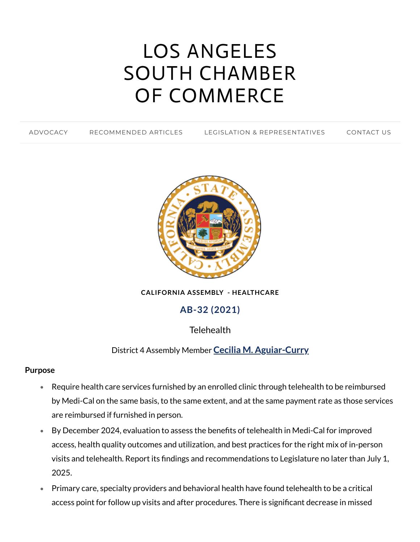# LOS ANGELES SOUTH CHAMBER OF [COMMERCE](https://www.lascc.us/)

[ADVOCACY](https://www.lascc.us/) [RECOMMENDED](https://www.lascc.us/recommended-articles.html) ARTICLES LEGISLATION & [REPRESENTATIVES](https://www.lascc.us/legislation--representatives.html) [CONTACT](https://www.lascc.us/contact-us.html) US



**CALIFORNIA ASSEMBLY - HEALTHCARE**

**AB-32 (2021)**

Telehealth

# District 4 Assembly Member **Cecilia M. [Aguiar-Curry](https://a04.asmdc.org/)**

#### **Purpose**

- Require health care services furnished by an enrolled clinic through telehealth to be reimbursed by Medi-Cal on the same basis, to the same extent, and at the same payment rate as those services are reimbursed if furnished in person.
- By December 2024, evaluation to assess the benefits of telehealth in Medi-Cal for improved access, health quality outcomes and utilization, and best practices for the right mix of in-person visits and telehealth. Report its findings and recommendations to Legislature no later than July 1, 2025.
- Primary care, specialty providers and behavioral health have found telehealth to be a critical access point for follow up visits and after procedures. There is significant decrease in missed